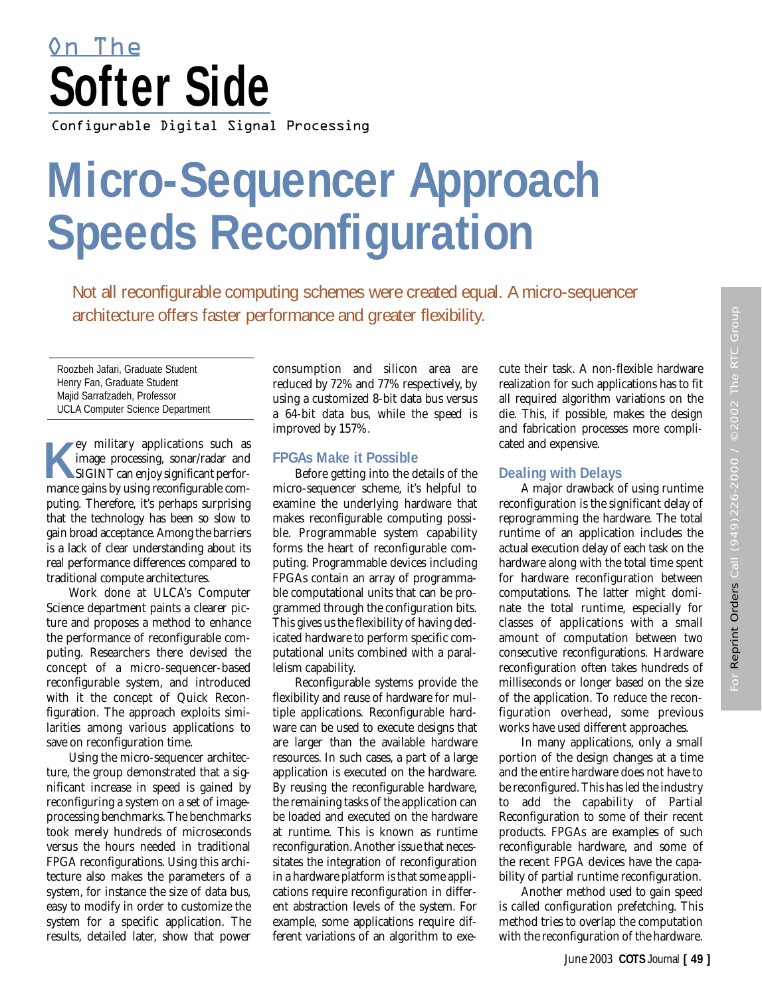# Configurable Digital Signal Processing **Softer Side** On The

# **Micro-Sequencer Approach Speeds Reconfiguration**

Not all reconfigurable computing schemes were created equal. A micro-sequencer architecture offers faster performance and greater flexibility.

Roozbeh Jafari, Graduate Student Henry Fan, Graduate Student Majid Sarrafzadeh, Professor UCLA Computer Science Department

**Key military applications such as<br>
image processing, sonar/radar and<br>
SIGINT can enjoy significant perfor**image processing, sonar/radar and SIGINT can enjoy significant performance gains by using reconfigurable computing. Therefore, it's perhaps surprising that the technology has been so slow to gain broad acceptance. Among the barriers is a lack of clear understanding about its real performance differences compared to traditional compute architectures.

Work done at ULCA's Computer Science department paints a clearer picture and proposes a method to enhance the performance of reconfigurable computing. Researchers there devised the concept of a micro-sequencer-based reconfigurable system, and introduced with it the concept of Quick Reconfiguration. The approach exploits similarities among various applications to save on reconfiguration time.

Using the micro-sequencer architecture, the group demonstrated that a significant increase in speed is gained by reconfiguring a system on a set of imageprocessing benchmarks. The benchmarks took merely hundreds of microseconds versus the hours needed in traditional FPGA reconfigurations. Using this architecture also makes the parameters of a system, for instance the size of data bus, easy to modify in order to customize the system for a specific application. The results, detailed later, show that power

consumption and silicon area are reduced by 72% and 77% respectively, by using a customized 8-bit data bus versus a 64-bit data bus, while the speed is improved by 157%.

# **FPGAs Make it Possible**

Before getting into the details of the micro-sequencer scheme, it's helpful to examine the underlying hardware that makes reconfigurable computing possible. Programmable system capability forms the heart of reconfigurable computing. Programmable devices including FPGAs contain an array of programmable computational units that can be programmed through the configuration bits. This gives us the flexibility of having dedicated hardware to perform specific computational units combined with a parallelism capability.

Reconfigurable systems provide the flexibility and reuse of hardware for multiple applications. Reconfigurable hardware can be used to execute designs that are larger than the available hardware resources. In such cases, a part of a large application is executed on the hardware. By reusing the reconfigurable hardware, the remaining tasks of the application can be loaded and executed on the hardware at runtime. This is known as runtime reconfiguration. Another issue that necessitates the integration of reconfiguration in a hardware platform is that some applications require reconfiguration in different abstraction levels of the system. For example, some applications require different variations of an algorithm to execute their task. A non-flexible hardware realization for such applications has to fit all required algorithm variations on the die. This, if possible, makes the design and fabrication processes more complicated and expensive.

# **Dealing with Delays**

A major drawback of using runtime reconfiguration is the significant delay of reprogramming the hardware. The total runtime of an application includes the actual execution delay of each task on the hardware along with the total time spent for hardware reconfiguration between computations. The latter might dominate the total runtime, especially for classes of applications with a small amount of computation between two consecutive reconfigurations. Hardware reconfiguration often takes hundreds of milliseconds or longer based on the size of the application. To reduce the reconfiguration overhead, some previous works have used different approaches.

In many applications, only a small portion of the design changes at a time and the entire hardware does not have to be reconfigured. This has led the industry to add the capability of Partial Reconfiguration to some of their recent products. FPGAs are examples of such reconfigurable hardware, and some of the recent FPGA devices have the capability of partial runtime reconfiguration.

Another method used to gain speed is called configuration prefetching. This method tries to overlap the computation with the reconfiguration of the hardware.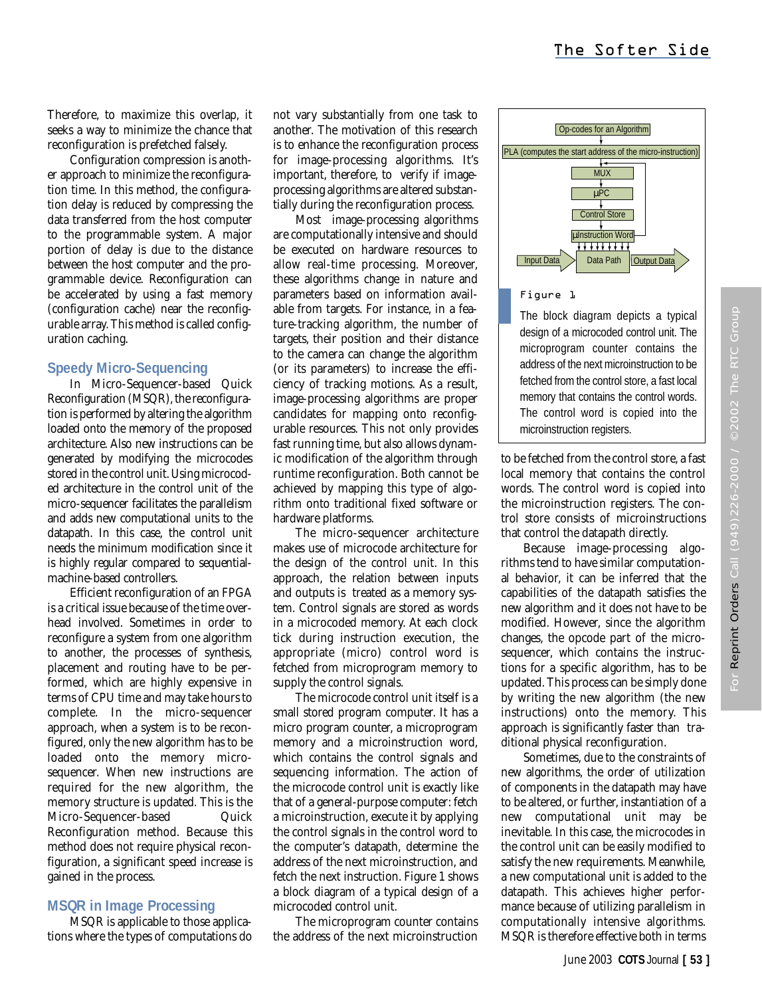Therefore, to maximize this overlap, it seeks a way to minimize the chance that reconfiguration is prefetched falsely.

Configuration compression is another approach to minimize the reconfiguration time. In this method, the configuration delay is reduced by compressing the data transferred from the host computer to the programmable system. A major portion of delay is due to the distance between the host computer and the programmable device. Reconfiguration can be accelerated by using a fast memory (configuration cache) near the reconfigurable array. This method is called configuration caching.

# **Speedy Micro-Sequencing**

In Micro-Sequencer-based Quick Reconfiguration (MSQR), the reconfiguration is performed by altering the algorithm loaded onto the memory of the proposed architecture. Also new instructions can be generated by modifying the microcodes stored in the control unit. Using microcoded architecture in the control unit of the micro-sequencer facilitates the parallelism and adds new computational units to the datapath. In this case, the control unit needs the minimum modification since it is highly regular compared to sequentialmachine-based controllers.

Efficient reconfiguration of an FPGA is a critical issue because of the time overhead involved. Sometimes in order to reconfigure a system from one algorithm to another, the processes of synthesis, placement and routing have to be performed, which are highly expensive in terms of CPU time and may take hours to complete. In the micro-sequencer approach, when a system is to be reconfigured, only the new algorithm has to be loaded onto the memory microsequencer. When new instructions are required for the new algorithm, the memory structure is updated. This is the Micro-Sequencer-based Quick Reconfiguration method. Because this method does not require physical reconfiguration, a significant speed increase is gained in the process.

# **MSQR in Image Processing**

MSQR is applicable to those applications where the types of computations do not vary substantially from one task to another. The motivation of this research is to enhance the reconfiguration process for image-processing algorithms. It's important, therefore, to verify if imageprocessing algorithms are altered substantially during the reconfiguration process.

Most image-processing algorithms are computationally intensive and should be executed on hardware resources to allow real-time processing. Moreover, these algorithms change in nature and parameters based on information available from targets. For instance, in a feature-tracking algorithm, the number of targets, their position and their distance to the camera can change the algorithm (or its parameters) to increase the efficiency of tracking motions. As a result, image-processing algorithms are proper candidates for mapping onto reconfigurable resources. This not only provides fast running time, but also allows dynamic modification of the algorithm through runtime reconfiguration. Both cannot be achieved by mapping this type of algorithm onto traditional fixed software or hardware platforms.

The micro-sequencer architecture makes use of microcode architecture for the design of the control unit. In this approach, the relation between inputs and outputs is treated as a memory system. Control signals are stored as words in a microcoded memory. At each clock tick during instruction execution, the appropriate (micro) control word is fetched from microprogram memory to supply the control signals.

The microcode control unit itself is a small stored program computer. It has a micro program counter, a microprogram memory and a microinstruction word, which contains the control signals and sequencing information. The action of the microcode control unit is exactly like that of a general-purpose computer: fetch a microinstruction, execute it by applying the control signals in the control word to the computer's datapath, determine the address of the next microinstruction, and fetch the next instruction. Figure 1 shows a block diagram of a typical design of a microcoded control unit.

The microprogram counter contains the address of the next microinstruction



# Figure 1

The block diagram depicts a typical design of a microcoded control unit. The microprogram counter contains the address of the next microinstruction to be fetched from the control store, a fast local memory that contains the control words. The control word is copied into the microinstruction registers.

to be fetched from the control store, a fast local memory that contains the control words. The control word is copied into the microinstruction registers. The control store consists of microinstructions that control the datapath directly.

Because image-processing algorithms tend to have similar computational behavior, it can be inferred that the capabilities of the datapath satisfies the new algorithm and it does not have to be modified. However, since the algorithm changes, the opcode part of the microsequencer, which contains the instructions for a specific algorithm, has to be updated. This process can be simply done by writing the new algorithm (the new instructions) onto the memory. This approach is significantly faster than traditional physical reconfiguration.

Sometimes, due to the constraints of new algorithms, the order of utilization of components in the datapath may have to be altered, or further, instantiation of a new computational unit may be inevitable. In this case, the microcodes in the control unit can be easily modified to satisfy the new requirements. Meanwhile, a new computational unit is added to the datapath. This achieves higher performance because of utilizing parallelism in computationally intensive algorithms. MSQR is therefore effective both in terms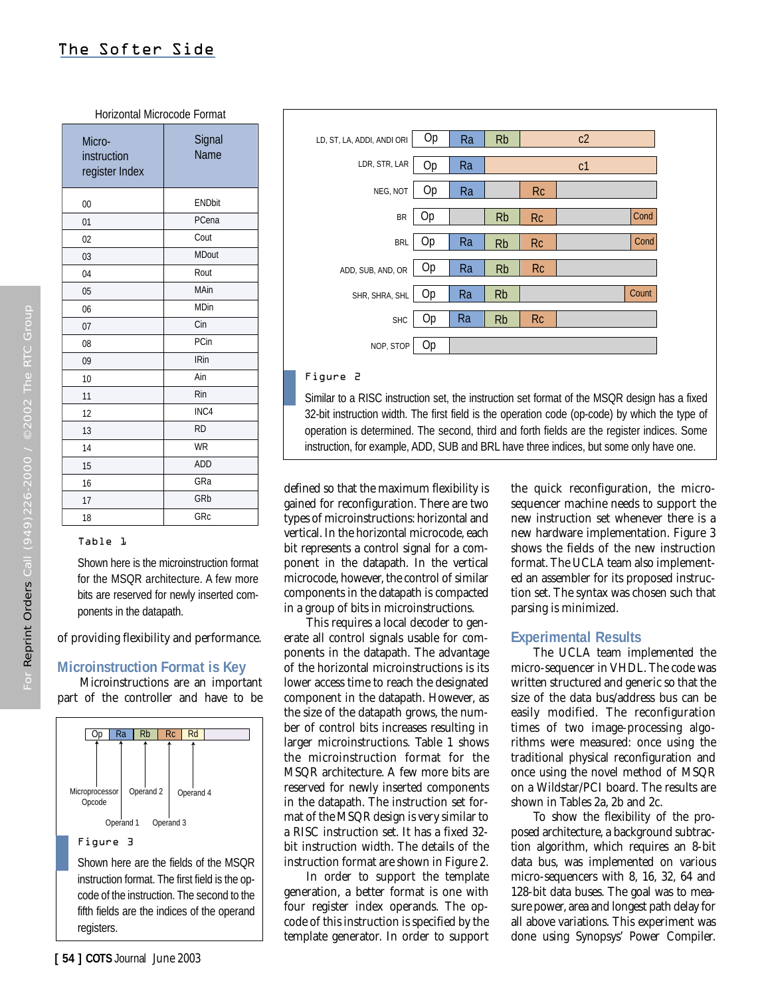Horizontal Microcode Format

Microinstruction register Index 00  $01$ 02 03 04 05 06 07 08 09 10 11 12 13 14 15 16 17 18 **Signal** Name ENDbit PCena Cout MDout Rout MAin MDin Cin PCin IRin Ain Rin INC4 RD WR ADD GRa GRb GRc

# Table 1

Shown here is the microinstruction format for the MSQR architecture. A few more bits are reserved for newly inserted components in the datapath.

of providing flexibility and performance.

#### **Microinstruction Format is Key**

Microinstructions are an important part of the controller and have to be





#### Figure 2

Similar to a RISC instruction set, the instruction set format of the MSQR design has a fixed 32-bit instruction width. The first field is the operation code (op-code) by which the type of operation is determined. The second, third and forth fields are the register indices. Some instruction, for example, ADD, SUB and BRL have three indices, but some only have one.

defined so that the maximum flexibility is gained for reconfiguration. There are two types of microinstructions: horizontal and vertical. In the horizontal microcode, each bit represents a control signal for a component in the datapath. In the vertical microcode, however, the control of similar components in the datapath is compacted in a group of bits in microinstructions.

This requires a local decoder to generate all control signals usable for components in the datapath. The advantage of the horizontal microinstructions is its lower access time to reach the designated component in the datapath. However, as the size of the datapath grows, the number of control bits increases resulting in larger microinstructions. Table 1 shows the microinstruction format for the MSQR architecture. A few more bits are reserved for newly inserted components in the datapath. The instruction set format of the MSQR design is very similar to a RISC instruction set. It has a fixed 32 bit instruction width. The details of the instruction format are shown in Figure 2.

In order to support the template generation, a better format is one with four register index operands. The opcode of this instruction is specified by the template generator. In order to support

the quick reconfiguration, the microsequencer machine needs to support the new instruction set whenever there is a new hardware implementation. Figure 3 shows the fields of the new instruction format. The UCLA team also implemented an assembler for its proposed instruction set. The syntax was chosen such that parsing is minimized.

#### **Experimental Results**

The UCLA team implemented the micro-sequencer in VHDL. The code was written structured and generic so that the size of the data bus/address bus can be easily modified. The reconfiguration times of two image-processing algorithms were measured: once using the traditional physical reconfiguration and once using the novel method of MSQR on a Wildstar/PCI board. The results are shown in Tables 2a, 2b and 2c.

To show the flexibility of the proposed architecture, a background subtraction algorithm, which requires an 8-bit data bus, was implemented on various micro-sequencers with 8, 16, 32, 64 and 128-bit data buses. The goal was to measure power, area and longest path delay for all above variations. This experiment was done using Synopsys' Power Compiler.